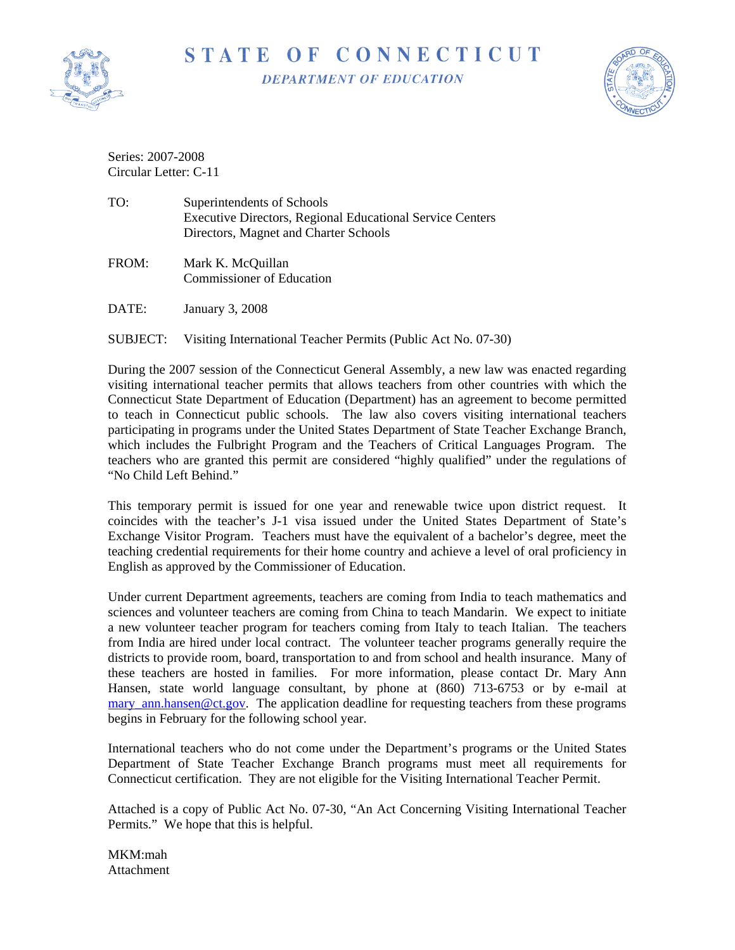

## STATE OF CONNECTICUT

**DEPARTMENT OF EDUCATION** 



Series: 2007-2008 Circular Letter: C-11

- TO: Superintendents of Schools Executive Directors, Regional Educational Service Centers Directors, Magnet and Charter Schools
- FROM: Mark K. McQuillan Commissioner of Education
- DATE: January 3, 2008
- SUBJECT: Visiting International Teacher Permits (Public Act No. 07-30)

During the 2007 session of the Connecticut General Assembly, a new law was enacted regarding visiting international teacher permits that allows teachers from other countries with which the Connecticut State Department of Education (Department) has an agreement to become permitted to teach in Connecticut public schools. The law also covers visiting international teachers participating in programs under the United States Department of State Teacher Exchange Branch, which includes the Fulbright Program and the Teachers of Critical Languages Program. The teachers who are granted this permit are considered "highly qualified" under the regulations of "No Child Left Behind."

This temporary permit is issued for one year and renewable twice upon district request. It coincides with the teacher's J-1 visa issued under the United States Department of State's Exchange Visitor Program. Teachers must have the equivalent of a bachelor's degree, meet the teaching credential requirements for their home country and achieve a level of oral proficiency in English as approved by the Commissioner of Education.

Under current Department agreements, teachers are coming from India to teach mathematics and sciences and volunteer teachers are coming from China to teach Mandarin. We expect to initiate a new volunteer teacher program for teachers coming from Italy to teach Italian. The teachers from India are hired under local contract. The volunteer teacher programs generally require the districts to provide room, board, transportation to and from school and health insurance. Many of these teachers are hosted in families. For more information, please contact Dr. Mary Ann Hansen, state world language consultant, by phone at (860) 713-6753 or by e-mail at [mary\\_ann.hansen@ct.gov.](mailto:mary_ann.hansen@ct.gov) The application deadline for requesting teachers from these programs begins in February for the following school year.

International teachers who do not come under the Department's programs or the United States Department of State Teacher Exchange Branch programs must meet all requirements for Connecticut certification. They are not eligible for the Visiting International Teacher Permit.

Attached is a copy of Public Act No. 07-30, "An Act Concerning Visiting International Teacher Permits." We hope that this is helpful.

MKM:mah Attachment